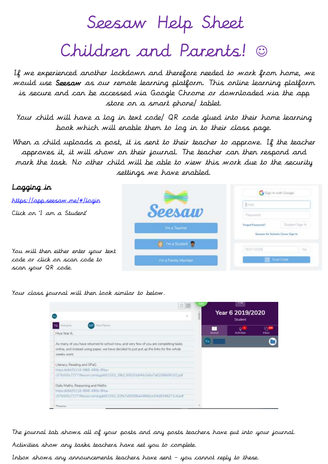Seesaw Help Sheet

## Children and Parents!

If we experienced another lockdown and therefore needed to work from home, we would use Seesaw as our remote learning platform. This online learning platform is secure and can be accessed via Google Chrome or downloaded via the app store on a smart phone/ tablet.

Your child will have a log in text code/ QR code glued into their home learning book which will enable them to log in to their class page.

When a child uploads a post, it is sent to their teacher to approve. If the teacher approves it, it will show on their journal. The teacher can then respond and mark the task. No other child will be able to view this work due to the security settings we have enabled.





The journal tab shows all of your posts and any posts teachers have put into your journal.

Activities show any tasks teachers have set you to complete.

Inbox shows any announcements teachers have sent – you cannot reply to these.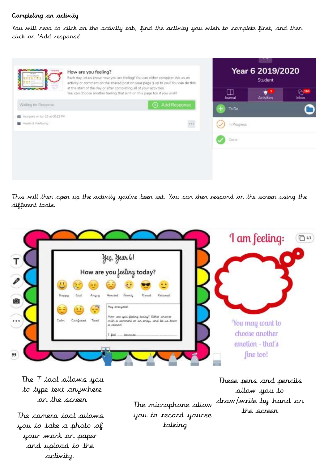## Completing an activity

You will need to click on the activity tab, find the activity you wish to complete first, and then click on 'Add response'



This will then open up the activity you've been set. You can then respond on the screen using the different tools.



The T tool allows you to type text anywhere

you to take a photo of your work on paper and upload to the activity.

on the screen The microphone allow you to record yourself the screen The camera tool allows talking

These pens and pencils allow you to draw/write by hand on